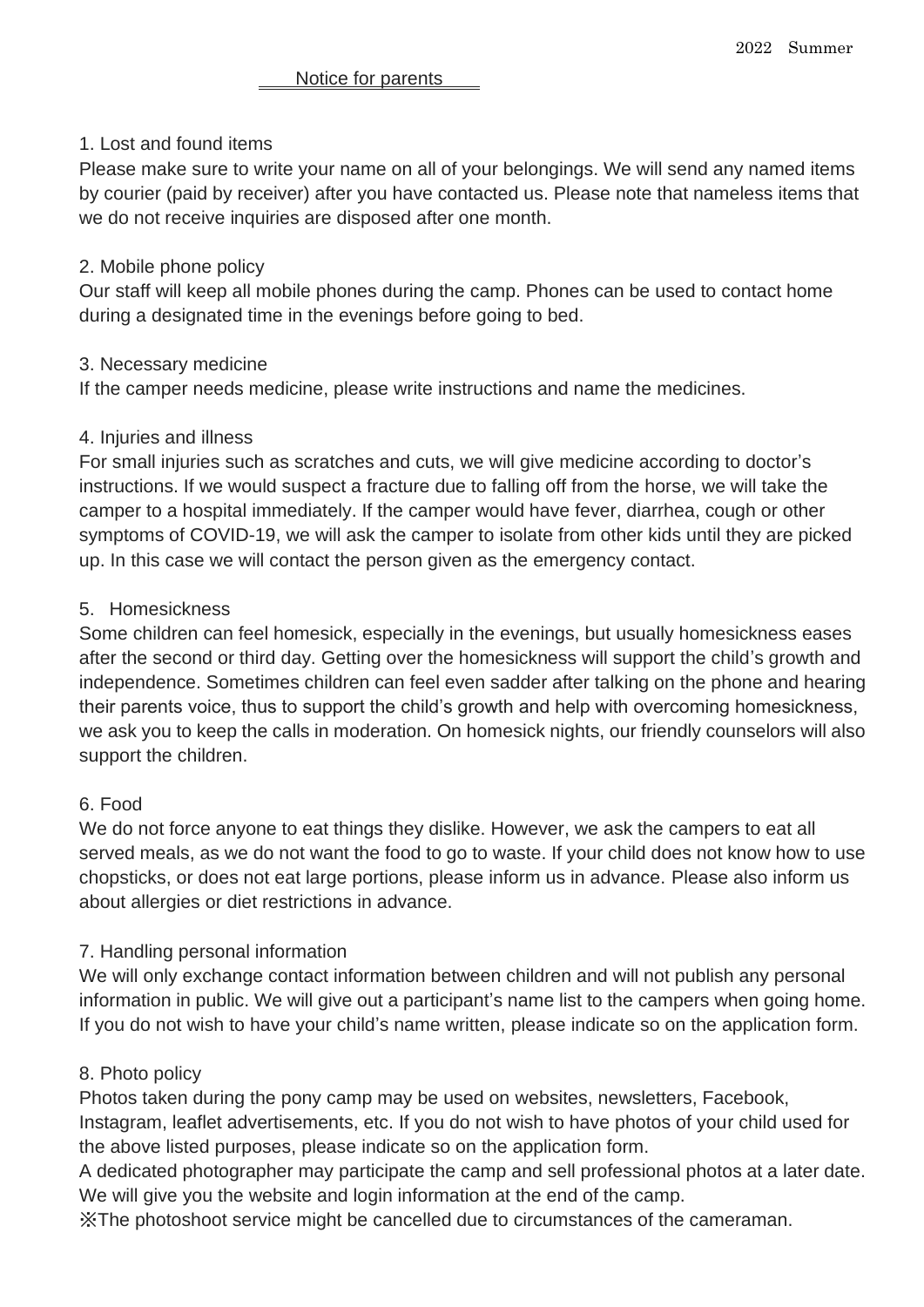## 1. Lost and found items

Please make sure to write your name on all of your belongings. We will send any named items by courier (paid by receiver) after you have contacted us. Please note that nameless items that we do not receive inquiries are disposed after one month.

#### 2. Mobile phone policy

Our staff will keep all mobile phones during the camp. Phones can be used to contact home during a designated time in the evenings before going to bed.

### 3. Necessary medicine

If the camper needs medicine, please write instructions and name the medicines.

### 4. Injuries and illness

For small injuries such as scratches and cuts, we will give medicine according to doctor's instructions. If we would suspect a fracture due to falling off from the horse, we will take the camper to a hospital immediately. If the camper would have fever, diarrhea, cough or other symptoms of COVID-19, we will ask the camper to isolate from other kids until they are picked up. In this case we will contact the person given as the emergency contact.

### 5. Homesickness

Some children can feel homesick, especially in the evenings, but usually homesickness eases after the second or third day. Getting over the homesickness will support the child's growth and independence. Sometimes children can feel even sadder after talking on the phone and hearing their parents voice, thus to support the child's growth and help with overcoming homesickness, we ask you to keep the calls in moderation. On homesick nights, our friendly counselors will also support the children.

## 6. Food

We do not force anyone to eat things they dislike. However, we ask the campers to eat all served meals, as we do not want the food to go to waste. If your child does not know how to use chopsticks, or does not eat large portions, please inform us in advance. Please also inform us about allergies or diet restrictions in advance.

## 7. Handling personal information

We will only exchange contact information between children and will not publish any personal information in public. We will give out a participant's name list to the campers when going home. If you do not wish to have your child's name written, please indicate so on the application form.

#### 8. Photo policy

Photos taken during the pony camp may be used on websites, newsletters, Facebook, Instagram, leaflet advertisements, etc. If you do not wish to have photos of your child used for the above listed purposes, please indicate so on the application form.

A dedicated photographer may participate the camp and sell professional photos at a later date. We will give you the website and login information at the end of the camp.

※The photoshoot service might be cancelled due to circumstances of the cameraman.